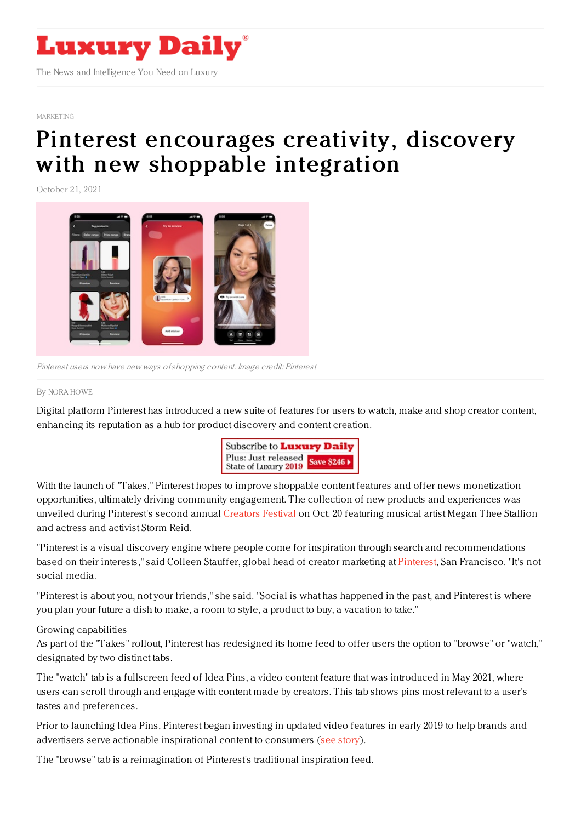

#### [MARKETING](https://www.luxurydaily.com/category/sectors/marketing-industry-sectors/)

# Pinterest [encourages](https://www.luxurydaily.com/pinterest-shopping-takes/) creativity, discovery with new shoppable integration

October 21, 2021



Pinterest users now have new ways ofshopping content. Image credit: Pinterest

### By NORA [HOWE](file:///author/nora-howe)

Digital platform Pinterest has introduced a new suite of features for users to watch, make and shop creator content, enhancing its reputation as a hub for product discovery and content creation.



With the launch of "Takes," Pinterest hopes to improve shoppable content features and offer news monetization opportunities, ultimately driving community engagement. The collection of new products and experiences was unveiled during Pinterest's second annual [Creators](https://pinterestcreatorsfestival.com/) Festival on Oct. 20 featuring musical artist Megan Thee Stallion and actress and activist Storm Reid.

"Pinterest is a visual discovery engine where people come for inspiration through search and recommendations based on their interests," said Colleen Stauffer, global head of creator marketing at [Pinterest](http://www.pinterest.com), San Francisco. "It's not social media.

"Pinterest is about you, not your friends," she said. "Social is what has happened in the past, and Pinterest is where you plan your future a dish to make, a room to style, a product to buy, a vacation to take."

## Growing capabilities

As part of the "Takes" rollout, Pinterest has redesigned its home feed to offer users the option to "browse" or "watch," designated by two distinct tabs.

The "watch" tab is a fullscreen feed of Idea Pins, a video content feature that was introduced in May 2021, where users can scroll through and engage with content made by creators. This tab shows pins most relevant to a user's tastes and preferences.

Prior to launching Idea Pins, Pinterest began investing in updated video features in early 2019 to help brands and advertisers serve actionable inspirational content to consumers (see [story](https://www.luxurydaily.com/pinterest-pushes-ahead-with-video-strategy/)).

The "browse" tab is a reimagination of Pinterest's traditional inspiration feed.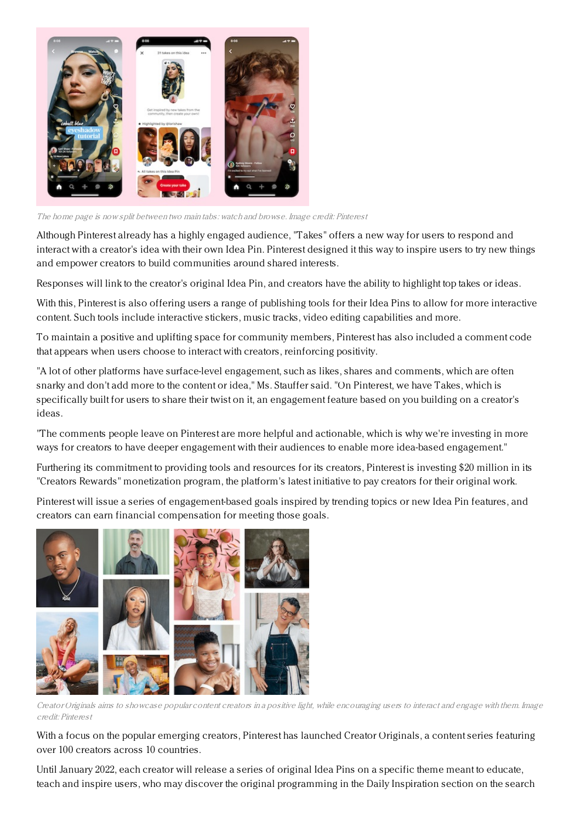

The home page is now split between two main tabs: watch and browse. Image credit: Pinterest

Although Pinterest already has a highly engaged audience, "Takes" offers a new way for users to respond and interact with a creator's idea with their own Idea Pin. Pinterest designed it this way to inspire users to try new things and empower creators to build communities around shared interests.

Responses will link to the creator's original Idea Pin, and creators have the ability to highlight top takes or ideas.

With this, Pinterest is also offering users a range of publishing tools for their Idea Pins to allow for more interactive content. Such tools include interactive stickers, music tracks, video editing capabilities and more.

To maintain a positive and uplifting space for community members, Pinterest has also included a comment code that appears when users choose to interact with creators, reinforcing positivity.

"A lot of other platforms have surface-level engagement, such as likes, shares and comments, which are often snarky and don't add more to the content or idea," Ms. Stauffer said. "On Pinterest, we have Takes, which is specifically built for users to share their twist on it, an engagement feature based on you building on a creator's ideas.

"The comments people leave on Pinterest are more helpful and actionable, which is why we're investing in more ways for creators to have deeper engagement with their audiences to enable more idea-based engagement."

Furthering its commitment to providing tools and resources for its creators, Pinterest is investing \$20 million in its "Creators Rewards" monetization program, the platform's latest initiative to pay creators for their original work.

Pinterest will issue a series of engagement-based goals inspired by trending topics or new Idea Pin features, and creators can earn financial compensation for meeting those goals.



Creator Originals aims to showcase popular content creators in <sup>a</sup> positive light, while encouraging users to interact and engage with them. Image credit: Pinterest

With a focus on the popular emerging creators, Pinterest has launched Creator Originals, a content series featuring over 100 creators across 10 countries.

Until January 2022, each creator will release a series of original Idea Pins on a specific theme meant to educate, teach and inspire users, who may discover the original programming in the Daily Inspiration section on the search